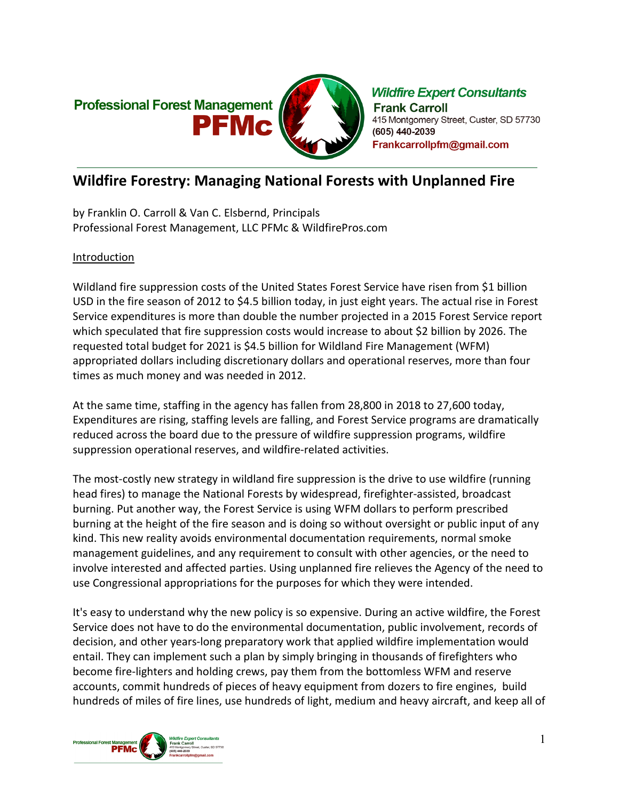

# **Wildfire Forestry: Managing National Forests with Unplanned Fire**

by Franklin O. Carroll & Van C. Elsbernd, Principals Professional Forest Management, LLC PFMc & WildfirePros.com

## Introduction

Wildland fire suppression costs of the United States Forest Service have risen from \$1 billion USD in the fire season of 2012 to \$4.5 billion today, in just eight years. The actual rise in Forest Service expenditures is more than double the number projected in a 2015 Forest Service report which speculated that fire suppression costs would increase to about \$2 billion by 2026. The requested total budget for 2021 is \$4.5 billion for Wildland Fire Management (WFM) appropriated dollars including discretionary dollars and operational reserves, more than four times as much money and was needed in 2012.

At the same time, staffing in the agency has fallen from 28,800 in 2018 to 27,600 today, Expenditures are rising, staffing levels are falling, and Forest Service programs are dramatically reduced across the board due to the pressure of wildfire suppression programs, wildfire suppression operational reserves, and wildfire-related activities.

The most-costly new strategy in wildland fire suppression is the drive to use wildfire (running head fires) to manage the National Forests by widespread, firefighter-assisted, broadcast burning. Put another way, the Forest Service is using WFM dollars to perform prescribed burning at the height of the fire season and is doing so without oversight or public input of any kind. This new reality avoids environmental documentation requirements, normal smoke management guidelines, and any requirement to consult with other agencies, or the need to involve interested and affected parties. Using unplanned fire relieves the Agency of the need to use Congressional appropriations for the purposes for which they were intended.

It's easy to understand why the new policy is so expensive. During an active wildfire, the Forest Service does not have to do the environmental documentation, public involvement, records of decision, and other years-long preparatory work that applied wildfire implementation would entail. They can implement such a plan by simply bringing in thousands of firefighters who become fire-lighters and holding crews, pay them from the bottomless WFM and reserve accounts, commit hundreds of pieces of heavy equipment from dozers to fire engines, build hundreds of miles of fire lines, use hundreds of light, medium and heavy aircraft, and keep all of

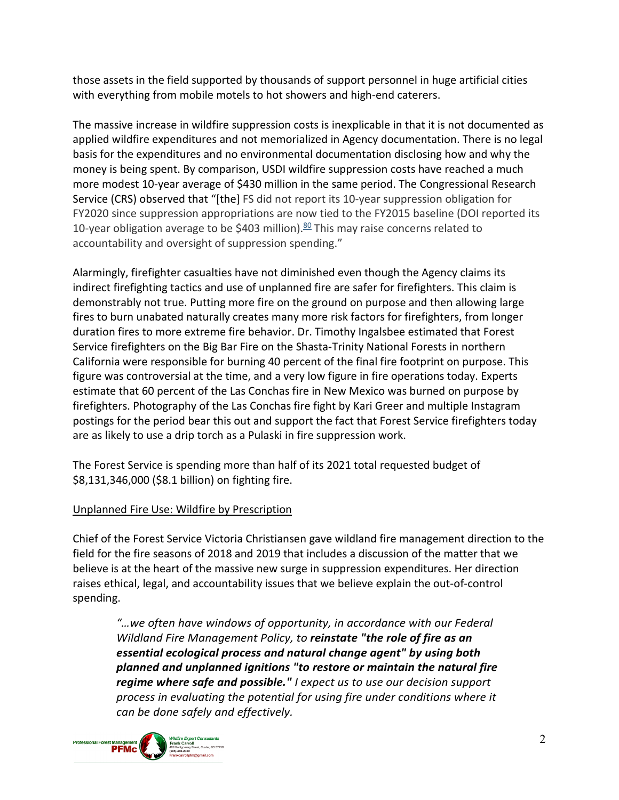those assets in the field supported by thousands of support personnel in huge artificial cities with everything from mobile motels to hot showers and high-end caterers.

The massive increase in wildfire suppression costs is inexplicable in that it is not documented as applied wildfire expenditures and not memorialized in Agency documentation. There is no legal basis for the expenditures and no environmental documentation disclosing how and why the money is being spent. By comparison, USDI wildfire suppression costs have reached a much more modest 10-year average of \$430 million in the same period. The Congressional Research Service (CRS) observed that "[the] FS did not report its 10-year suppression obligation for FY2020 since suppression appropriations are now tied to the FY2015 baseline (DOI reported its 10-year obligation average to be \$403 million). $80$  This may raise concerns related to accountability and oversight of suppression spending."

Alarmingly, firefighter casualties have not diminished even though the Agency claims its indirect firefighting tactics and use of unplanned fire are safer for firefighters. This claim is demonstrably not true. Putting more fire on the ground on purpose and then allowing large fires to burn unabated naturally creates many more risk factors for firefighters, from longer duration fires to more extreme fire behavior. Dr. Timothy Ingalsbee estimated that Forest Service firefighters on the Big Bar Fire on the Shasta-Trinity National Forests in northern California were responsible for burning 40 percent of the final fire footprint on purpose. This figure was controversial at the time, and a very low figure in fire operations today. Experts estimate that 60 percent of the Las Conchas fire in New Mexico was burned on purpose by firefighters. Photography of the Las Conchas fire fight by Kari Greer and multiple Instagram postings for the period bear this out and support the fact that Forest Service firefighters today are as likely to use a drip torch as a Pulaski in fire suppression work.

The Forest Service is spending more than half of its 2021 total requested budget of \$8,131,346,000 (\$8.1 billion) on fighting fire.

#### Unplanned Fire Use: Wildfire by Prescription

Chief of the Forest Service Victoria Christiansen gave wildland fire management direction to the field for the fire seasons of 2018 and 2019 that includes a discussion of the matter that we believe is at the heart of the massive new surge in suppression expenditures. Her direction raises ethical, legal, and accountability issues that we believe explain the out-of-control spending.

*"…we often have windows of opportunity, in accordance with our Federal Wildland Fire Management Policy, to reinstate "the role of fire as an essential ecological process and natural change agent" by using both planned and unplanned ignitions "to restore or maintain the natural fire regime where safe and possible." I expect us to use our decision support process in evaluating the potential for using fire under conditions where it can be done safely and effectively.*

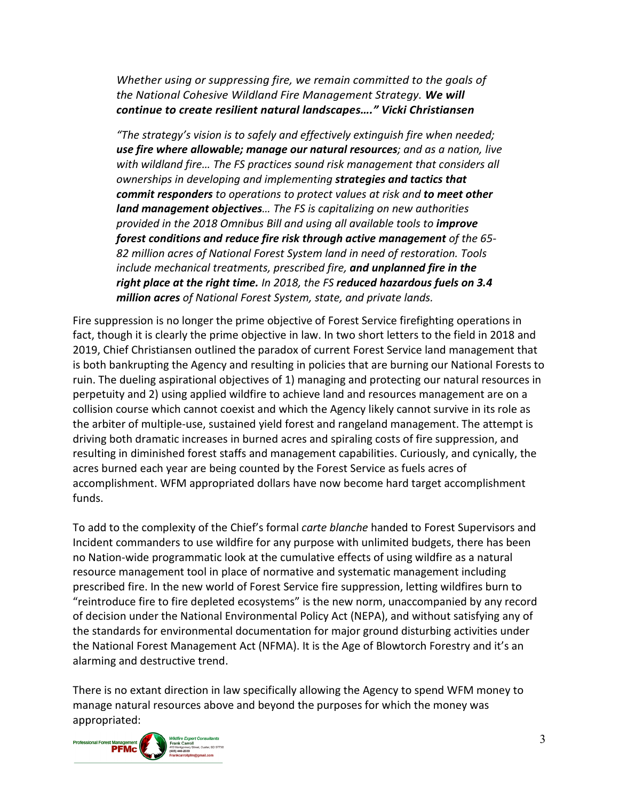*Whether using or suppressing fire, we remain committed to the goals of the National Cohesive Wildland Fire Management Strategy. We will continue to create resilient natural landscapes…." Vicki Christiansen*

*"The strategy's vision is to safely and effectively extinguish fire when needed; use fire where allowable; manage our natural resources; and as a nation, live with wildland fire… The FS practices sound risk management that considers all ownerships in developing and implementing strategies and tactics that commit responders to operations to protect values at risk and to meet other land management objectives… The FS is capitalizing on new authorities provided in the 2018 Omnibus Bill and using all available tools to improve forest conditions and reduce fire risk through active management of the 65- 82 million acres of National Forest System land in need of restoration. Tools include mechanical treatments, prescribed fire, and unplanned fire in the right place at the right time. In 2018, the FS reduced hazardous fuels on 3.4 million acres of National Forest System, state, and private lands.*

Fire suppression is no longer the prime objective of Forest Service firefighting operations in fact, though it is clearly the prime objective in law. In two short letters to the field in 2018 and 2019, Chief Christiansen outlined the paradox of current Forest Service land management that is both bankrupting the Agency and resulting in policies that are burning our National Forests to ruin. The dueling aspirational objectives of 1) managing and protecting our natural resources in perpetuity and 2) using applied wildfire to achieve land and resources management are on a collision course which cannot coexist and which the Agency likely cannot survive in its role as the arbiter of multiple-use, sustained yield forest and rangeland management. The attempt is driving both dramatic increases in burned acres and spiraling costs of fire suppression, and resulting in diminished forest staffs and management capabilities. Curiously, and cynically, the acres burned each year are being counted by the Forest Service as fuels acres of accomplishment. WFM appropriated dollars have now become hard target accomplishment funds.

To add to the complexity of the Chief's formal *carte blanche* handed to Forest Supervisors and Incident commanders to use wildfire for any purpose with unlimited budgets, there has been no Nation-wide programmatic look at the cumulative effects of using wildfire as a natural resource management tool in place of normative and systematic management including prescribed fire. In the new world of Forest Service fire suppression, letting wildfires burn to "reintroduce fire to fire depleted ecosystems" is the new norm, unaccompanied by any record of decision under the National Environmental Policy Act (NEPA), and without satisfying any of the standards for environmental documentation for major ground disturbing activities under the National Forest Management Act (NFMA). It is the Age of Blowtorch Forestry and it's an alarming and destructive trend.

There is no extant direction in law specifically allowing the Agency to spend WFM money to manage natural resources above and beyond the purposes for which the money was appropriated:

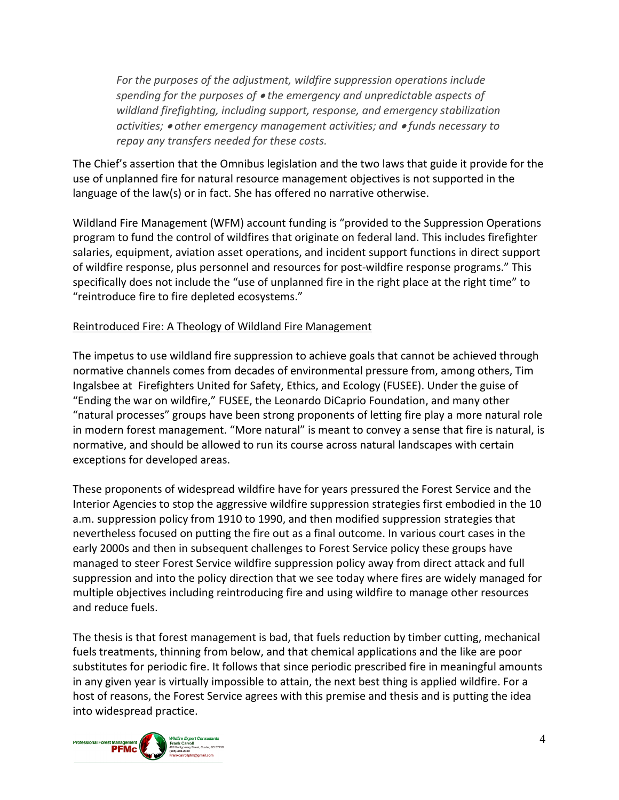*For the purposes of the adjustment, wildfire suppression operations include spending for the purposes of* • *the emergency and unpredictable aspects of wildland firefighting, including support, response, and emergency stabilization activities;* • *other emergency management activities; and* • *funds necessary to repay any transfers needed for these costs.*

The Chief's assertion that the Omnibus legislation and the two laws that guide it provide for the use of unplanned fire for natural resource management objectives is not supported in the language of the law(s) or in fact. She has offered no narrative otherwise.

Wildland Fire Management (WFM) account funding is "provided to the Suppression Operations program to fund the control of wildfires that originate on federal land. This includes firefighter salaries, equipment, aviation asset operations, and incident support functions in direct support of wildfire response, plus personnel and resources for post-wildfire response programs." This specifically does not include the "use of unplanned fire in the right place at the right time" to "reintroduce fire to fire depleted ecosystems."

#### Reintroduced Fire: A Theology of Wildland Fire Management

The impetus to use wildland fire suppression to achieve goals that cannot be achieved through normative channels comes from decades of environmental pressure from, among others, Tim Ingalsbee at [Firefighters United for Safety, Ethics, and Ecology \(FUSEE\).](http://www.fusee.org/) Under the guise of "Ending the war on wildfire," FUSEE, the Leonardo DiCaprio Foundation, and many other "natural processes" groups have been strong proponents of letting fire play a more natural role in modern forest management. "More natural" is meant to convey a sense that fire is natural, is normative, and should be allowed to run its course across natural landscapes with certain exceptions for developed areas.

These proponents of widespread wildfire have for years pressured the Forest Service and the Interior Agencies to stop the aggressive wildfire suppression strategies first embodied in the 10 a.m. suppression policy from 1910 to 1990, and then modified suppression strategies that nevertheless focused on putting the fire out as a final outcome. In various court cases in the early 2000s and then in subsequent challenges to Forest Service policy these groups have managed to steer Forest Service wildfire suppression policy away from direct attack and full suppression and into the policy direction that we see today where fires are widely managed for multiple objectives including reintroducing fire and using wildfire to manage other resources and reduce fuels.

The thesis is that forest management is bad, that fuels reduction by timber cutting, mechanical fuels treatments, thinning from below, and that chemical applications and the like are poor substitutes for periodic fire. It follows that since periodic prescribed fire in meaningful amounts in any given year is virtually impossible to attain, the next best thing is applied wildfire. For a host of reasons, the Forest Service agrees with this premise and thesis and is putting the idea into widespread practice.

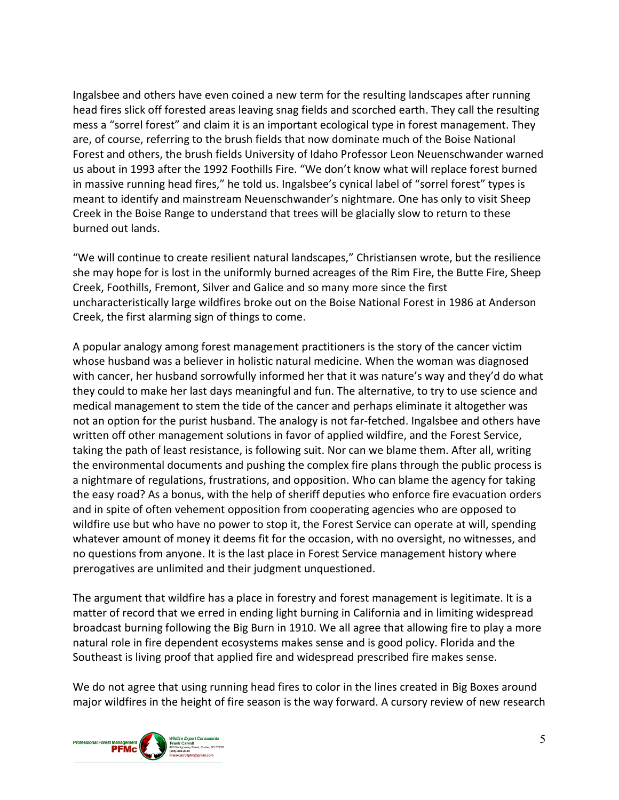Ingalsbee and others have even coined a new term for the resulting landscapes after running head fires slick off forested areas leaving snag fields and scorched earth. They call the resulting mess a "sorrel forest" and claim it is an important ecological type in forest management. They are, of course, referring to the brush fields that now dominate much of the Boise National Forest and others, the brush fields University of Idaho Professor Leon Neuenschwander warned us about in 1993 after the 1992 Foothills Fire. "We don't know what will replace forest burned in massive running head fires," he told us. Ingalsbee's cynical label of "sorrel forest" types is meant to identify and mainstream Neuenschwander's nightmare. One has only to visit Sheep Creek in the Boise Range to understand that trees will be glacially slow to return to these burned out lands.

"We will continue to create resilient natural landscapes," Christiansen wrote, but the resilience she may hope for is lost in the uniformly burned acreages of the Rim Fire, the Butte Fire, Sheep Creek, Foothills, Fremont, Silver and Galice and so many more since the first uncharacteristically large wildfires broke out on the Boise National Forest in 1986 at Anderson Creek, the first alarming sign of things to come.

A popular analogy among forest management practitioners is the story of the cancer victim whose husband was a believer in holistic natural medicine. When the woman was diagnosed with cancer, her husband sorrowfully informed her that it was nature's way and they'd do what they could to make her last days meaningful and fun. The alternative, to try to use science and medical management to stem the tide of the cancer and perhaps eliminate it altogether was not an option for the purist husband. The analogy is not far-fetched. Ingalsbee and others have written off other management solutions in favor of applied wildfire, and the Forest Service, taking the path of least resistance, is following suit. Nor can we blame them. After all, writing the environmental documents and pushing the complex fire plans through the public process is a nightmare of regulations, frustrations, and opposition. Who can blame the agency for taking the easy road? As a bonus, with the help of sheriff deputies who enforce fire evacuation orders and in spite of often vehement opposition from cooperating agencies who are opposed to wildfire use but who have no power to stop it, the Forest Service can operate at will, spending whatever amount of money it deems fit for the occasion, with no oversight, no witnesses, and no questions from anyone. It is the last place in Forest Service management history where prerogatives are unlimited and their judgment unquestioned.

The argument that wildfire has a place in forestry and forest management is legitimate. It is a matter of record that we erred in ending light burning in California and in limiting widespread broadcast burning following the Big Burn in 1910. We all agree that allowing fire to play a more natural role in fire dependent ecosystems makes sense and is good policy. Florida and the Southeast is living proof that applied fire and widespread prescribed fire makes sense.

We do not agree that using running head fires to color in the lines created in Big Boxes around major wildfires in the height of fire season is the way forward. A cursory review of new research

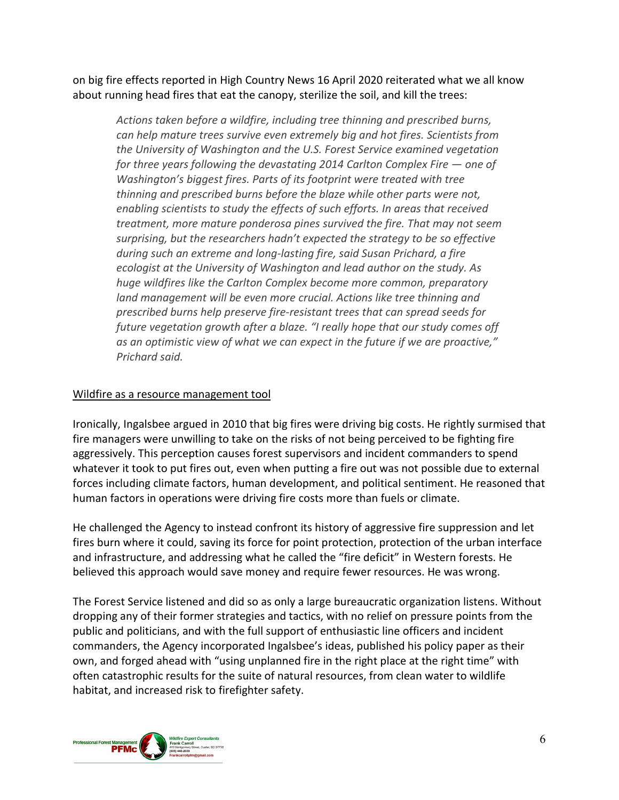on big fire effects reported in High Country News 16 April 2020 reiterated what we all know about running head fires that eat the canopy, sterilize the soil, and kill the trees:

*Actions taken before a wildfire, including tree thinning and prescribed burns, can help mature trees survive even extremely big and hot fires. Scientists from the University of Washington and the U.S. Forest Service examined vegetation for three years following the devastating 2014 Carlton Complex Fire — one of Washington's biggest fires. Parts of its footprint were treated with tree thinning and prescribed burns before the blaze while other parts were not, enabling scientists to study the effects of such efforts. In areas that received treatment, more mature ponderosa pines survived the fire. That may not seem surprising, but the researchers hadn't expected the strategy to be so effective during such an extreme and long-lasting fire, said Susan Prichard, a fire ecologist at the University of Washington and lead author on the study. As huge wildfires like the Carlton Complex become more common, preparatory land management will be even more crucial. Actions like tree thinning and prescribed burns help preserve fire-resistant trees that can spread seeds for future vegetation growth after a blaze. "I really hope that our study comes off as an optimistic view of what we can expect in the future if we are proactive," Prichard said.*

### Wildfire as a resource management tool

Ironically, Ingalsbee argued in 2010 that big fires were driving big costs. He rightly surmised that fire managers were unwilling to take on the risks of not being perceived to be fighting fire aggressively. This perception causes forest supervisors and incident commanders to spend whatever it took to put fires out, even when putting a fire out was not possible due to external forces including climate factors, human development, and political sentiment. He reasoned that human factors in operations were driving fire costs more than fuels or climate.

He challenged the Agency to instead confront its history of aggressive fire suppression and let fires burn where it could, saving its force for point protection, protection of the urban interface and infrastructure, and addressing what he called the "fire deficit" in Western forests. He believed this approach would save money and require fewer resources. He was wrong.

The Forest Service listened and did so as only a large bureaucratic organization listens. Without dropping any of their former strategies and tactics, with no relief on pressure points from the public and politicians, and with the full support of enthusiastic line officers and incident commanders, the Agency incorporated Ingalsbee's ideas, published his policy paper as their own, and forged ahead with "using unplanned fire in the right place at the right time" with often catastrophic results for the suite of natural resources, from clean water to wildlife habitat, and increased risk to firefighter safety.

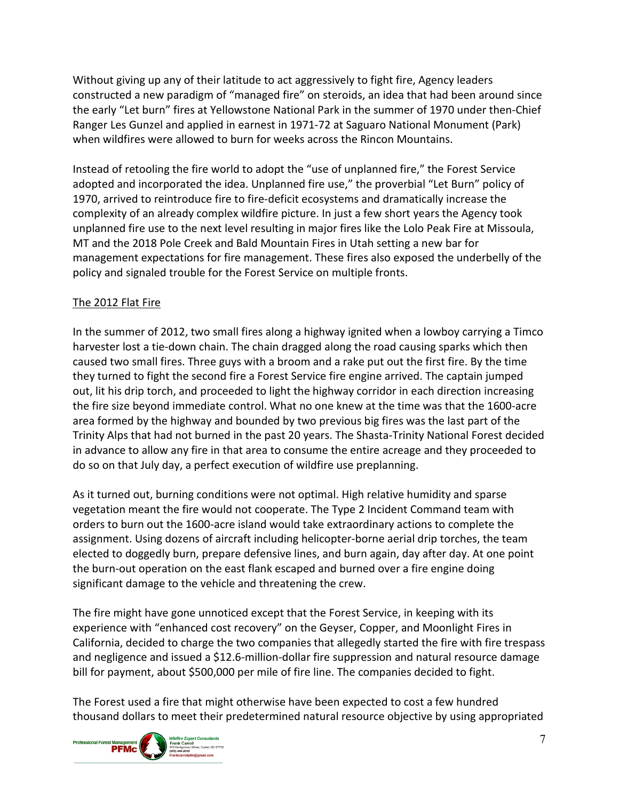Without giving up any of their latitude to act aggressively to fight fire, Agency leaders constructed a new paradigm of "managed fire" on steroids, an idea that had been around since the early "Let burn" fires at Yellowstone National Park in the summer of 1970 under then-Chief Ranger Les Gunzel and applied in earnest in 1971-72 at Saguaro National Monument (Park) when wildfires were allowed to burn for weeks across the Rincon Mountains.

Instead of retooling the fire world to adopt the "use of unplanned fire," the Forest Service adopted and incorporated the idea. Unplanned fire use," the proverbial "Let Burn" policy of 1970, arrived to reintroduce fire to fire-deficit ecosystems and dramatically increase the complexity of an already complex wildfire picture. In just a few short years the Agency took unplanned fire use to the next level resulting in major fires like the Lolo Peak Fire at Missoula, MT and the 2018 Pole Creek and Bald Mountain Fires in Utah setting a new bar for management expectations for fire management. These fires also exposed the underbelly of the policy and signaled trouble for the Forest Service on multiple fronts.

## The 2012 Flat Fire

In the summer of 2012, two small fires along a highway ignited when a lowboy carrying a Timco harvester lost a tie-down chain. The chain dragged along the road causing sparks which then caused two small fires. Three guys with a broom and a rake put out the first fire. By the time they turned to fight the second fire a Forest Service fire engine arrived. The captain jumped out, lit his drip torch, and proceeded to light the highway corridor in each direction increasing the fire size beyond immediate control. What no one knew at the time was that the 1600-acre area formed by the highway and bounded by two previous big fires was the last part of the Trinity Alps that had not burned in the past 20 years. The Shasta-Trinity National Forest decided in advance to allow any fire in that area to consume the entire acreage and they proceeded to do so on that July day, a perfect execution of wildfire use preplanning.

As it turned out, burning conditions were not optimal. High relative humidity and sparse vegetation meant the fire would not cooperate. The Type 2 Incident Command team with orders to burn out the 1600-acre island would take extraordinary actions to complete the assignment. Using dozens of aircraft including helicopter-borne aerial drip torches, the team elected to doggedly burn, prepare defensive lines, and burn again, day after day. At one point the burn-out operation on the east flank escaped and burned over a fire engine doing significant damage to the vehicle and threatening the crew.

The fire might have gone unnoticed except that the Forest Service, in keeping with its experience with "enhanced cost recovery" on the Geyser, Copper, and Moonlight Fires in California, decided to charge the two companies that allegedly started the fire with fire trespass and negligence and issued a \$12.6-million-dollar fire suppression and natural resource damage bill for payment, about \$500,000 per mile of fire line. The companies decided to fight.

The Forest used a fire that might otherwise have been expected to cost a few hundred thousand dollars to meet their predetermined natural resource objective by using appropriated

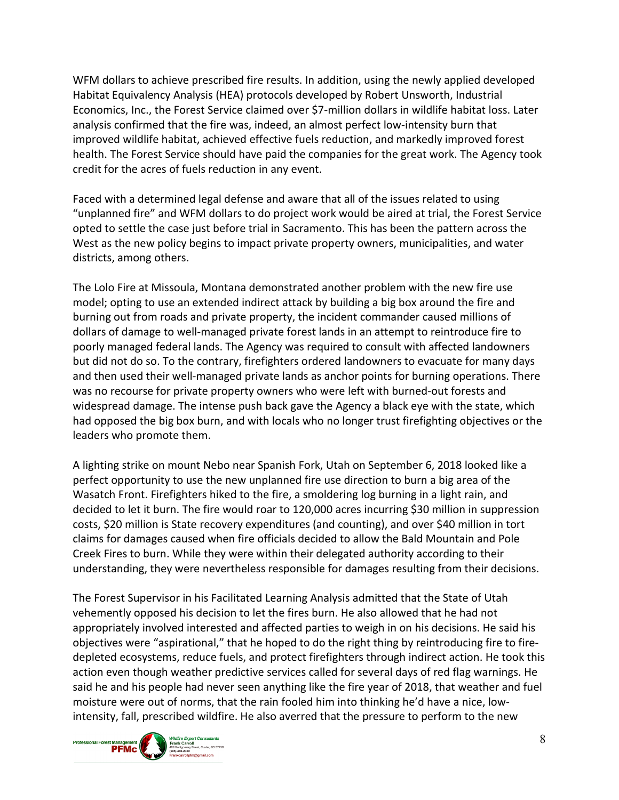WFM dollars to achieve prescribed fire results. In addition, using the newly applied developed Habitat Equivalency Analysis (HEA) protocols developed by Robert Unsworth, Industrial Economics, Inc., the Forest Service claimed over \$7-million dollars in wildlife habitat loss. Later analysis confirmed that the fire was, indeed, an almost perfect low-intensity burn that improved wildlife habitat, achieved effective fuels reduction, and markedly improved forest health. The Forest Service should have paid the companies for the great work. The Agency took credit for the acres of fuels reduction in any event.

Faced with a determined legal defense and aware that all of the issues related to using "unplanned fire" and WFM dollars to do project work would be aired at trial, the Forest Service opted to settle the case just before trial in Sacramento. This has been the pattern across the West as the new policy begins to impact private property owners, municipalities, and water districts, among others.

The Lolo Fire at Missoula, Montana demonstrated another problem with the new fire use model; opting to use an extended indirect attack by building a big box around the fire and burning out from roads and private property, the incident commander caused millions of dollars of damage to well-managed private forest lands in an attempt to reintroduce fire to poorly managed federal lands. The Agency was required to consult with affected landowners but did not do so. To the contrary, firefighters ordered landowners to evacuate for many days and then used their well-managed private lands as anchor points for burning operations. There was no recourse for private property owners who were left with burned-out forests and widespread damage. The intense push back gave the Agency a black eye with the state, which had opposed the big box burn, and with locals who no longer trust firefighting objectives or the leaders who promote them.

A lighting strike on mount Nebo near Spanish Fork, Utah on September 6, 2018 looked like a perfect opportunity to use the new unplanned fire use direction to burn a big area of the Wasatch Front. Firefighters hiked to the fire, a smoldering log burning in a light rain, and decided to let it burn. The fire would roar to 120,000 acres incurring \$30 million in suppression costs, \$20 million is State recovery expenditures (and counting), and over \$40 million in tort claims for damages caused when fire officials decided to allow the Bald Mountain and Pole Creek Fires to burn. While they were within their delegated authority according to their understanding, they were nevertheless responsible for damages resulting from their decisions.

The Forest Supervisor in his Facilitated Learning Analysis admitted that the State of Utah vehemently opposed his decision to let the fires burn. He also allowed that he had not appropriately involved interested and affected parties to weigh in on his decisions. He said his objectives were "aspirational," that he hoped to do the right thing by reintroducing fire to firedepleted ecosystems, reduce fuels, and protect firefighters through indirect action. He took this action even though weather predictive services called for several days of red flag warnings. He said he and his people had never seen anything like the fire year of 2018, that weather and fuel moisture were out of norms, that the rain fooled him into thinking he'd have a nice, lowintensity, fall, prescribed wildfire. He also averred that the pressure to perform to the new

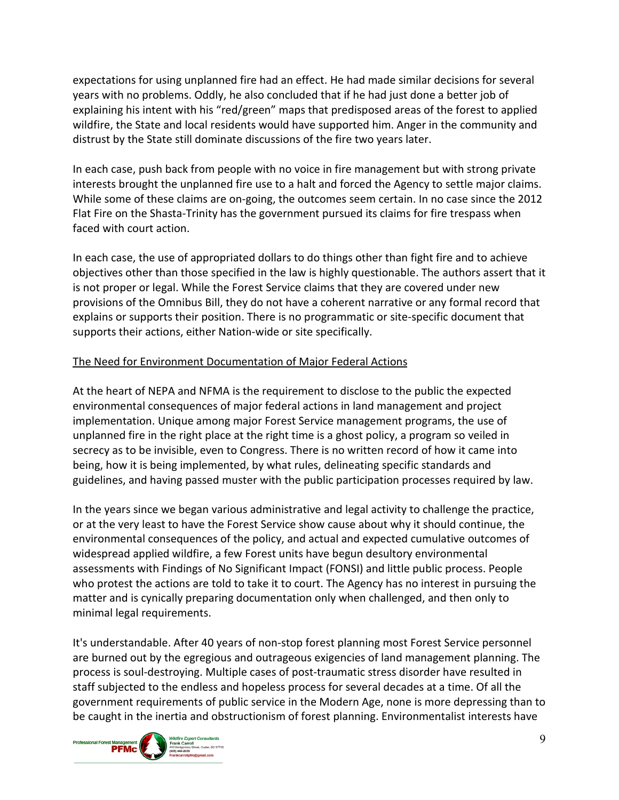expectations for using unplanned fire had an effect. He had made similar decisions for several years with no problems. Oddly, he also concluded that if he had just done a better job of explaining his intent with his "red/green" maps that predisposed areas of the forest to applied wildfire, the State and local residents would have supported him. Anger in the community and distrust by the State still dominate discussions of the fire two years later.

In each case, push back from people with no voice in fire management but with strong private interests brought the unplanned fire use to a halt and forced the Agency to settle major claims. While some of these claims are on-going, the outcomes seem certain. In no case since the 2012 Flat Fire on the Shasta-Trinity has the government pursued its claims for fire trespass when faced with court action.

In each case, the use of appropriated dollars to do things other than fight fire and to achieve objectives other than those specified in the law is highly questionable. The authors assert that it is not proper or legal. While the Forest Service claims that they are covered under new provisions of the Omnibus Bill, they do not have a coherent narrative or any formal record that explains or supports their position. There is no programmatic or site-specific document that supports their actions, either Nation-wide or site specifically.

# The Need for Environment Documentation of Major Federal Actions

At the heart of NEPA and NFMA is the requirement to disclose to the public the expected environmental consequences of major federal actions in land management and project implementation. Unique among major Forest Service management programs, the use of unplanned fire in the right place at the right time is a ghost policy, a program so veiled in secrecy as to be invisible, even to Congress. There is no written record of how it came into being, how it is being implemented, by what rules, delineating specific standards and guidelines, and having passed muster with the public participation processes required by law.

In the years since we began various administrative and legal activity to challenge the practice, or at the very least to have the Forest Service show cause about why it should continue, the environmental consequences of the policy, and actual and expected cumulative outcomes of widespread applied wildfire, a few Forest units have begun desultory environmental assessments with Findings of No Significant Impact (FONSI) and little public process. People who protest the actions are told to take it to court. The Agency has no interest in pursuing the matter and is cynically preparing documentation only when challenged, and then only to minimal legal requirements.

It's understandable. After 40 years of non-stop forest planning most Forest Service personnel are burned out by the egregious and outrageous exigencies of land management planning. The process is soul-destroying. Multiple cases of post-traumatic stress disorder have resulted in staff subjected to the endless and hopeless process for several decades at a time. Of all the government requirements of public service in the Modern Age, none is more depressing than to be caught in the inertia and obstructionism of forest planning. Environmentalist interests have

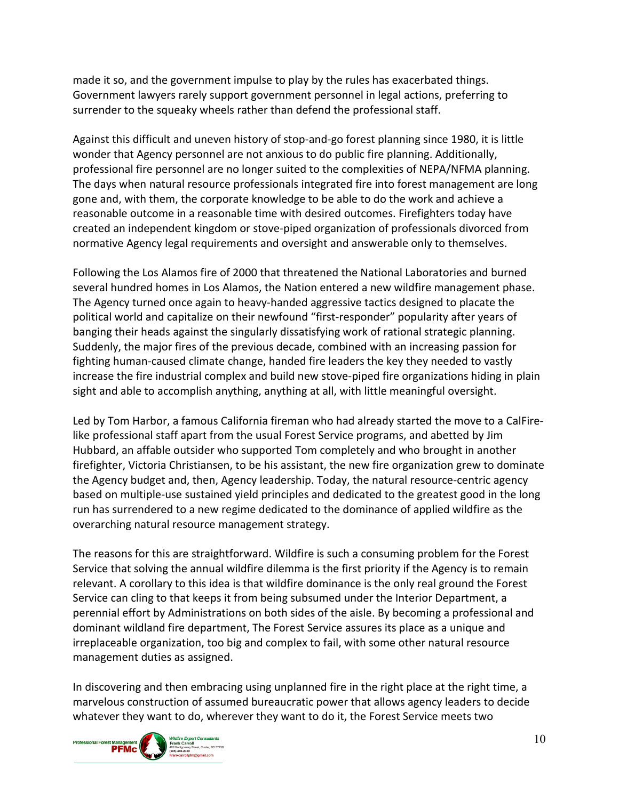made it so, and the government impulse to play by the rules has exacerbated things. Government lawyers rarely support government personnel in legal actions, preferring to surrender to the squeaky wheels rather than defend the professional staff.

Against this difficult and uneven history of stop-and-go forest planning since 1980, it is little wonder that Agency personnel are not anxious to do public fire planning. Additionally, professional fire personnel are no longer suited to the complexities of NEPA/NFMA planning. The days when natural resource professionals integrated fire into forest management are long gone and, with them, the corporate knowledge to be able to do the work and achieve a reasonable outcome in a reasonable time with desired outcomes. Firefighters today have created an independent kingdom or stove-piped organization of professionals divorced from normative Agency legal requirements and oversight and answerable only to themselves.

Following the Los Alamos fire of 2000 that threatened the National Laboratories and burned several hundred homes in Los Alamos, the Nation entered a new wildfire management phase. The Agency turned once again to heavy-handed aggressive tactics designed to placate the political world and capitalize on their newfound "first-responder" popularity after years of banging their heads against the singularly dissatisfying work of rational strategic planning. Suddenly, the major fires of the previous decade, combined with an increasing passion for fighting human-caused climate change, handed fire leaders the key they needed to vastly increase the fire industrial complex and build new stove-piped fire organizations hiding in plain sight and able to accomplish anything, anything at all, with little meaningful oversight.

Led by Tom Harbor, a famous California fireman who had already started the move to a CalFirelike professional staff apart from the usual Forest Service programs, and abetted by Jim Hubbard, an affable outsider who supported Tom completely and who brought in another firefighter, Victoria Christiansen, to be his assistant, the new fire organization grew to dominate the Agency budget and, then, Agency leadership. Today, the natural resource-centric agency based on multiple-use sustained yield principles and dedicated to the greatest good in the long run has surrendered to a new regime dedicated to the dominance of applied wildfire as the overarching natural resource management strategy.

The reasons for this are straightforward. Wildfire is such a consuming problem for the Forest Service that solving the annual wildfire dilemma is the first priority if the Agency is to remain relevant. A corollary to this idea is that wildfire dominance is the only real ground the Forest Service can cling to that keeps it from being subsumed under the Interior Department, a perennial effort by Administrations on both sides of the aisle. By becoming a professional and dominant wildland fire department, The Forest Service assures its place as a unique and irreplaceable organization, too big and complex to fail, with some other natural resource management duties as assigned.

In discovering and then embracing using unplanned fire in the right place at the right time, a marvelous construction of assumed bureaucratic power that allows agency leaders to decide whatever they want to do, wherever they want to do it, the Forest Service meets two

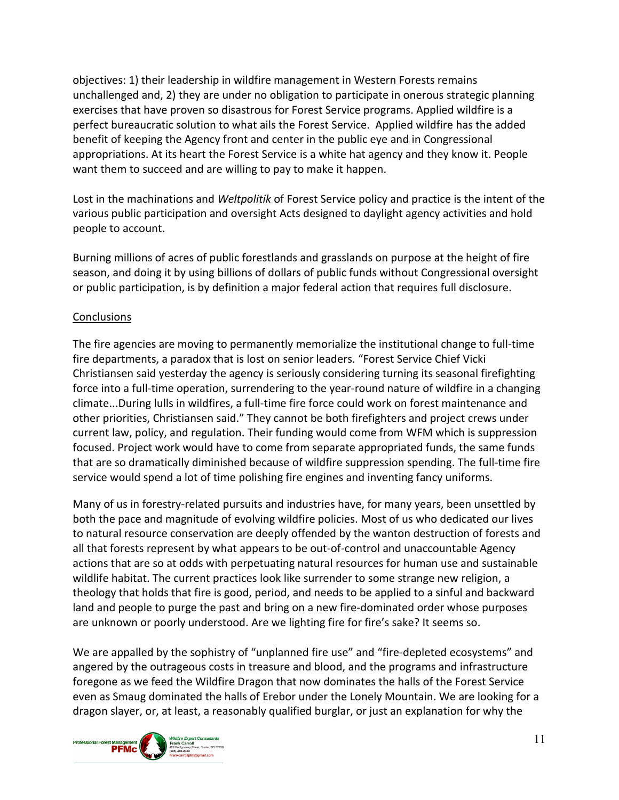objectives: 1) their leadership in wildfire management in Western Forests remains unchallenged and, 2) they are under no obligation to participate in onerous strategic planning exercises that have proven so disastrous for Forest Service programs. Applied wildfire is a perfect bureaucratic solution to what ails the Forest Service. Applied wildfire has the added benefit of keeping the Agency front and center in the public eye and in Congressional appropriations. At its heart the Forest Service is a white hat agency and they know it. People want them to succeed and are willing to pay to make it happen.

Lost in the machinations and *Weltpolitik* of Forest Service policy and practice is the intent of the various public participation and oversight Acts designed to daylight agency activities and hold people to account.

Burning millions of acres of public forestlands and grasslands on purpose at the height of fire season, and doing it by using billions of dollars of public funds without Congressional oversight or public participation, is by definition a major federal action that requires full disclosure.

## **Conclusions**

The fire agencies are moving to permanently memorialize the institutional change to full-time fire departments, a paradox that is lost on senior leaders. "Forest Service Chief Vicki Christiansen said yesterday the agency is seriously considering turning its seasonal firefighting force into a full-time operation, surrendering to the year-round nature of wildfire in a changing climate...During lulls in wildfires, a full-time fire force could work on forest maintenance and other priorities, Christiansen said." They cannot be both firefighters and project crews under current law, policy, and regulation. Their funding would come from WFM which is suppression focused. Project work would have to come from separate appropriated funds, the same funds that are so dramatically diminished because of wildfire suppression spending. The full-time fire service would spend a lot of time polishing fire engines and inventing fancy uniforms.

Many of us in forestry-related pursuits and industries have, for many years, been unsettled by both the pace and magnitude of evolving wildfire policies. Most of us who dedicated our lives to natural resource conservation are deeply offended by the wanton destruction of forests and all that forests represent by what appears to be out-of-control and unaccountable Agency actions that are so at odds with perpetuating natural resources for human use and sustainable wildlife habitat. The current practices look like surrender to some strange new religion, a theology that holds that fire is good, period, and needs to be applied to a sinful and backward land and people to purge the past and bring on a new fire-dominated order whose purposes are unknown or poorly understood. Are we lighting fire for fire's sake? It seems so.

We are appalled by the sophistry of "unplanned fire use" and "fire-depleted ecosystems" and angered by the outrageous costs in treasure and blood, and the programs and infrastructure foregone as we feed the Wildfire Dragon that now dominates the halls of the Forest Service even as Smaug dominated the halls of Erebor under the Lonely Mountain. We are looking for a dragon slayer, or, at least, a reasonably qualified burglar, or just an explanation for why the

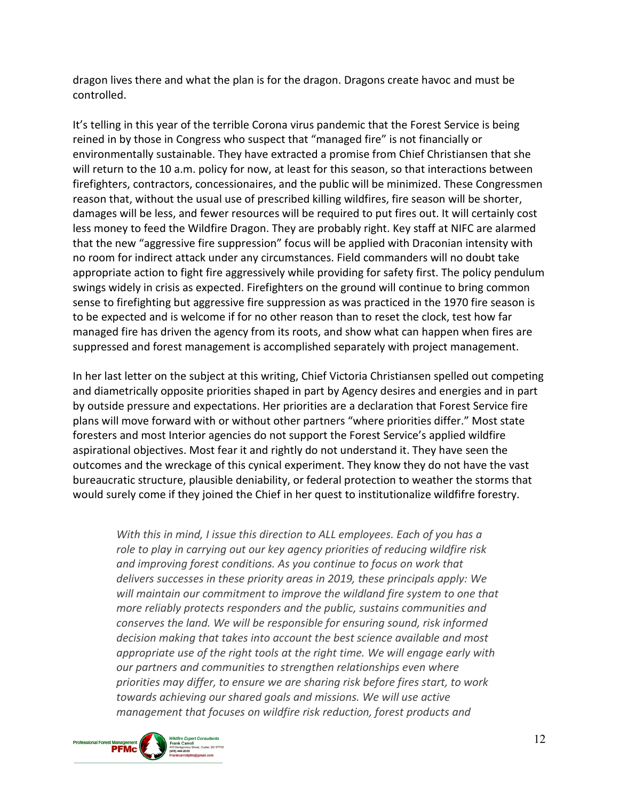dragon lives there and what the plan is for the dragon. Dragons create havoc and must be controlled.

It's telling in this year of the terrible Corona virus pandemic that the Forest Service is being reined in by those in Congress who suspect that "managed fire" is not financially or environmentally sustainable. They have extracted a promise from Chief Christiansen that she will return to the 10 a.m. policy for now, at least for this season, so that interactions between firefighters, contractors, concessionaires, and the public will be minimized. These Congressmen reason that, without the usual use of prescribed killing wildfires, fire season will be shorter, damages will be less, and fewer resources will be required to put fires out. It will certainly cost less money to feed the Wildfire Dragon. They are probably right. Key staff at NIFC are alarmed that the new "aggressive fire suppression" focus will be applied with Draconian intensity with no room for indirect attack under any circumstances. Field commanders will no doubt take appropriate action to fight fire aggressively while providing for safety first. The policy pendulum swings widely in crisis as expected. Firefighters on the ground will continue to bring common sense to firefighting but aggressive fire suppression as was practiced in the 1970 fire season is to be expected and is welcome if for no other reason than to reset the clock, test how far managed fire has driven the agency from its roots, and show what can happen when fires are suppressed and forest management is accomplished separately with project management.

In her last letter on the subject at this writing, Chief Victoria Christiansen spelled out competing and diametrically opposite priorities shaped in part by Agency desires and energies and in part by outside pressure and expectations. Her priorities are a declaration that Forest Service fire plans will move forward with or without other partners "where priorities differ." Most state foresters and most Interior agencies do not support the Forest Service's applied wildfire aspirational objectives. Most fear it and rightly do not understand it. They have seen the outcomes and the wreckage of this cynical experiment. They know they do not have the vast bureaucratic structure, plausible deniability, or federal protection to weather the storms that would surely come if they joined the Chief in her quest to institutionalize wildfifre forestry.

*With this in mind, I issue this direction to ALL employees. Each of you has a role to play in carrying out our key agency priorities of reducing wildfire risk and improving forest conditions. As you continue to focus on work that delivers successes in these priority areas in 2019, these principals apply: We will maintain our commitment to improve the wildland fire system to one that more reliably protects responders and the public, sustains communities and conserves the land. We will be responsible for ensuring sound, risk informed decision making that takes into account the best science available and most appropriate use of the right tools at the right time. We will engage early with our partners and communities to strengthen relationships even where priorities may differ, to ensure we are sharing risk before fires start, to work towards achieving our shared goals and missions. We will use active management that focuses on wildfire risk reduction, forest products and* 

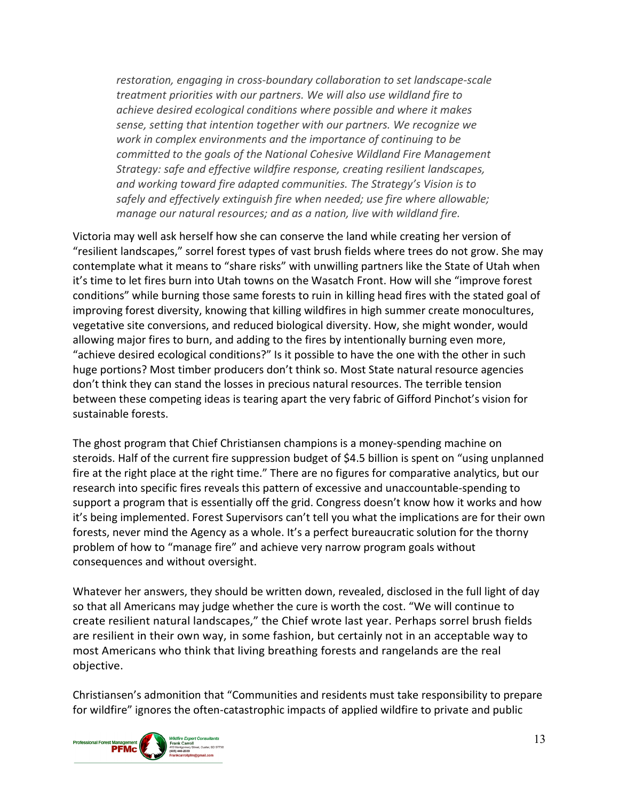*restoration, engaging in cross-boundary collaboration to set landscape-scale treatment priorities with our partners. We will also use wildland fire to achieve desired ecological conditions where possible and where it makes sense, setting that intention together with our partners. We recognize we work in complex environments and the importance of continuing to be committed to the goals of the National Cohesive Wildland Fire Management Strategy: safe and effective wildfire response, creating resilient landscapes, and working toward fire adapted communities. The Strategy's Vision is to safely and effectively extinguish fire when needed; use fire where allowable; manage our natural resources; and as a nation, live with wildland fire.*

Victoria may well ask herself how she can conserve the land while creating her version of "resilient landscapes," sorrel forest types of vast brush fields where trees do not grow. She may contemplate what it means to "share risks" with unwilling partners like the State of Utah when it's time to let fires burn into Utah towns on the Wasatch Front. How will she "improve forest conditions" while burning those same forests to ruin in killing head fires with the stated goal of improving forest diversity, knowing that killing wildfires in high summer create monocultures, vegetative site conversions, and reduced biological diversity. How, she might wonder, would allowing major fires to burn, and adding to the fires by intentionally burning even more, "achieve desired ecological conditions?" Is it possible to have the one with the other in such huge portions? Most timber producers don't think so. Most State natural resource agencies don't think they can stand the losses in precious natural resources. The terrible tension between these competing ideas is tearing apart the very fabric of Gifford Pinchot's vision for sustainable forests.

The ghost program that Chief Christiansen champions is a money-spending machine on steroids. Half of the current fire suppression budget of \$4.5 billion is spent on "using unplanned fire at the right place at the right time." There are no figures for comparative analytics, but our research into specific fires reveals this pattern of excessive and unaccountable-spending to support a program that is essentially off the grid. Congress doesn't know how it works and how it's being implemented. Forest Supervisors can't tell you what the implications are for their own forests, never mind the Agency as a whole. It's a perfect bureaucratic solution for the thorny problem of how to "manage fire" and achieve very narrow program goals without consequences and without oversight.

Whatever her answers, they should be written down, revealed, disclosed in the full light of day so that all Americans may judge whether the cure is worth the cost. "We will continue to create resilient natural landscapes," the Chief wrote last year. Perhaps sorrel brush fields are resilient in their own way, in some fashion, but certainly not in an acceptable way to most Americans who think that living breathing forests and rangelands are the real objective.

Christiansen's admonition that "Communities and residents must take responsibility to prepare for wildfire" ignores the often-catastrophic impacts of applied wildfire to private and public

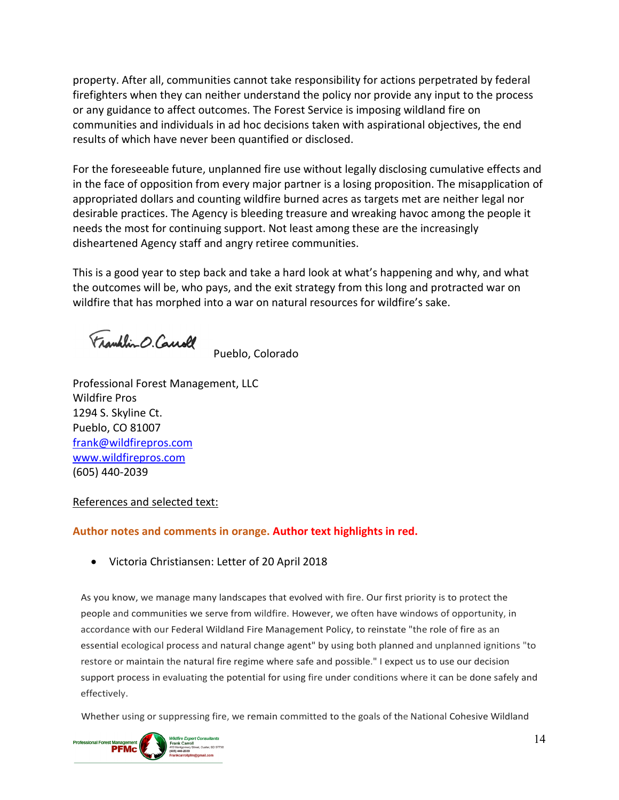property. After all, communities cannot take responsibility for actions perpetrated by federal firefighters when they can neither understand the policy nor provide any input to the process or any guidance to affect outcomes. The Forest Service is imposing wildland fire on communities and individuals in ad hoc decisions taken with aspirational objectives, the end results of which have never been quantified or disclosed.

For the foreseeable future, unplanned fire use without legally disclosing cumulative effects and in the face of opposition from every major partner is a losing proposition. The misapplication of appropriated dollars and counting wildfire burned acres as targets met are neither legal nor desirable practices. The Agency is bleeding treasure and wreaking havoc among the people it needs the most for continuing support. Not least among these are the increasingly disheartened Agency staff and angry retiree communities.

This is a good year to step back and take a hard look at what's happening and why, and what the outcomes will be, who pays, and the exit strategy from this long and protracted war on wildfire that has morphed into a war on natural resources for wildfire's sake.

Franklin O. Causel

Pueblo, Colorado

Professional Forest Management, LLC Wildfire Pros 1294 S. Skyline Ct. Pueblo, CO 81007 [frank@wildfirepros.com](mailto:frank@wildfirepros.com) [www.wildfirepros.com](http://www.wildfirepros.com/) (605) 440-2039

#### References and selected text:

#### **Author notes and comments in orange. Author text highlights in red.**

• Victoria Christiansen: Letter of 20 April 2018

As you know, we manage many landscapes that evolved with fire. Our first priority is to protect the people and communities we serve from wildfire. However, we often have windows of opportunity, in accordance with our Federal Wildland Fire Management Policy, to reinstate "the role of fire as an essential ecological process and natural change agent" by using both planned and unplanned ignitions "to restore or maintain the natural fire regime where safe and possible." I expect us to use our decision support process in evaluating the potential for using fire under conditions where it can be done safely and effectively.

Whether using or suppressing fire, we remain committed to the goals of the National Cohesive Wildland

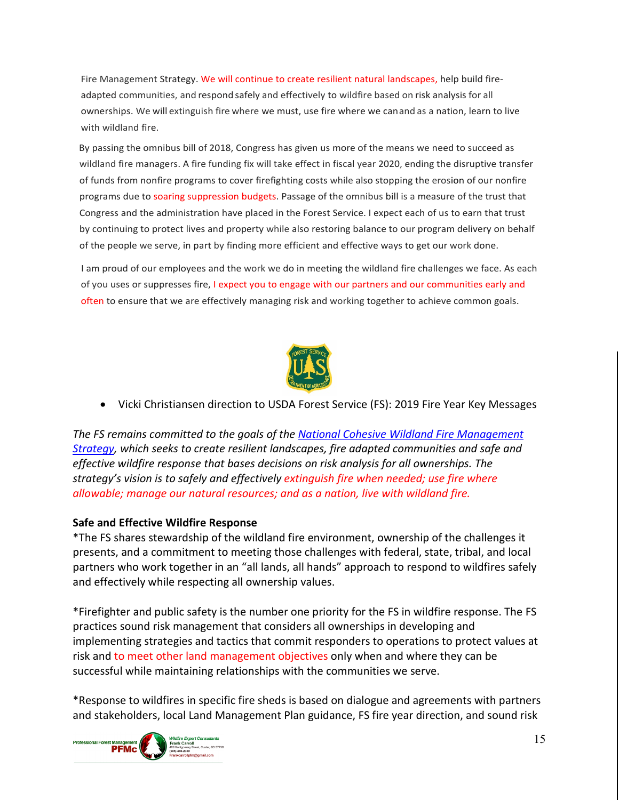Fire Management Strategy. We will continue to create resilient natural landscapes, help build fireadapted communities, and respond safely and effectively to wildfire based on risk analysis for all ownerships. We will extinguish fire where we must, use fire where we canand as a nation, learn to live with wildland fire.

By passing the omnibus bill of 2018, Congress has given us more of the means we need to succeed as wildland fire managers. A fire funding fix will take effect in fiscal year 2020, ending the disruptive transfer of funds from nonfire programs to cover firefighting costs while also stopping the erosion of our nonfire programs due to soaring suppression budgets. Passage of the omnibus bill is a measure of the trust that Congress and the administration have placed in the Forest Service. I expect each of us to earn that trust by continuing to protect lives and property while also restoring balance to our program delivery on behalf of the people we serve, in part by finding more efficient and effective ways to get our work done.

I am proud of our employees and the work we do in meeting the wildland fire challenges we face. As each of you uses or suppresses fire, I expect you to engage with our partners and our communities early and often to ensure that we are effectively managing risk and working together to achieve common goals.



• Vicki Christiansen direction to USDA Forest Service (FS): 2019 Fire Year Key Messages

*The FS remains committed to the goals of the [National Cohesive Wildland Fire Management](https://www.forestsandrangelands.gov/strategy/index.shtml) [Strategy,](https://www.forestsandrangelands.gov/strategy/index.shtml) which seeks to create resilient landscapes, fire adapted communities and safe and effective wildfire response that bases decisions on risk analysis for all ownerships. The strategy's vision is to safely and effectively extinguish fire when needed; use fire where allowable; manage our natural resources; and as a nation, live with wildland fire.*

#### **Safe and Effective Wildfire Response**

\*The FS shares stewardship of the wildland fire environment, ownership of the challenges it presents, and a commitment to meeting those challenges with federal, state, tribal, and local partners who work together in an "all lands, all hands" approach to respond to wildfires safely and effectively while respecting all ownership values.

\*Firefighter and public safety is the number one priority for the FS in wildfire response. The FS practices sound risk management that considers all ownerships in developing and implementing strategies and tactics that commit responders to operations to protect values at risk and to meet other land management objectives only when and where they can be successful while maintaining relationships with the communities we serve.

\*Response to wildfires in specific fire sheds is based on dialogue and agreements with partners and stakeholders, local Land Management Plan guidance, FS fire year direction, and sound risk

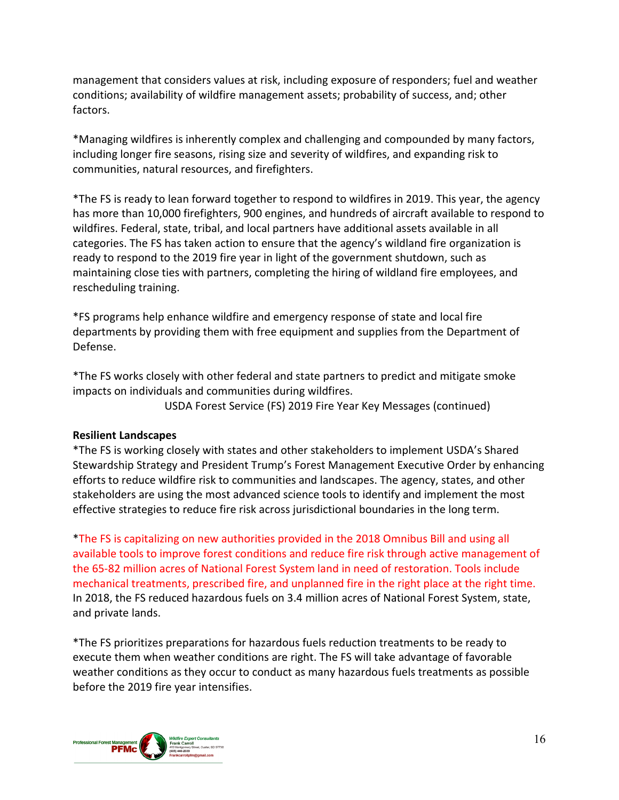management that considers values at risk, including exposure of responders; fuel and weather conditions; availability of wildfire management assets; probability of success, and; other factors.

\*Managing wildfires is inherently complex and challenging and compounded by many factors, including longer fire seasons, rising size and severity of wildfires, and expanding risk to communities, natural resources, and firefighters.

\*The FS is ready to lean forward together to respond to wildfires in 2019. This year, the agency has more than 10,000 firefighters, 900 engines, and hundreds of aircraft available to respond to wildfires. Federal, state, tribal, and local partners have additional assets available in all categories. The FS has taken action to ensure that the agency's wildland fire organization is ready to respond to the 2019 fire year in light of the government shutdown, such as maintaining close ties with partners, completing the hiring of wildland fire employees, and rescheduling training.

\*FS programs help enhance wildfire and emergency response of state and local fire departments by providing them with free equipment and supplies from the Department of Defense.

\*The FS works closely with other federal and state partners to predict and mitigate smoke impacts on individuals and communities during wildfires.

USDA Forest Service (FS) 2019 Fire Year Key Messages (continued)

#### **Resilient Landscapes**

\*The FS is working closely with states and other stakeholders to implement USDA's Shared Stewardship Strategy and President Trump's Forest Management Executive Order by enhancing efforts to reduce wildfire risk to communities and landscapes. The agency, states, and other stakeholders are using the most advanced science tools to identify and implement the most effective strategies to reduce fire risk across jurisdictional boundaries in the long term.

\*The FS is capitalizing on new authorities provided in the 2018 Omnibus Bill and using all available tools to improve forest conditions and reduce fire risk through active management of the 65-82 million acres of National Forest System land in need of restoration. Tools include mechanical treatments, prescribed fire, and unplanned fire in the right place at the right time. In 2018, the FS reduced hazardous fuels on 3.4 million acres of National Forest System, state, and private lands.

\*The FS prioritizes preparations for hazardous fuels reduction treatments to be ready to execute them when weather conditions are right. The FS will take advantage of favorable weather conditions as they occur to conduct as many hazardous fuels treatments as possible before the 2019 fire year intensifies.

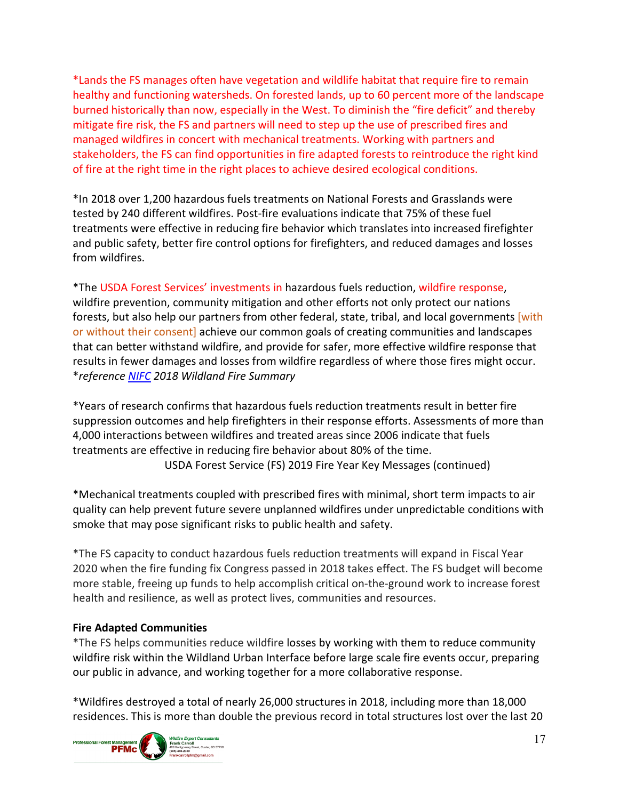\*Lands the FS manages often have vegetation and wildlife habitat that require fire to remain healthy and functioning watersheds. On forested lands, up to 60 percent more of the landscape burned historically than now, especially in the West. To diminish the "fire deficit" and thereby mitigate fire risk, the FS and partners will need to step up the use of prescribed fires and managed wildfires in concert with mechanical treatments. Working with partners and stakeholders, the FS can find opportunities in fire adapted forests to reintroduce the right kind of fire at the right time in the right places to achieve desired ecological conditions.

\*In 2018 over 1,200 hazardous fuels treatments on National Forests and Grasslands were tested by 240 different wildfires. Post-fire evaluations indicate that 75% of these fuel treatments were effective in reducing fire behavior which translates into increased firefighter and public safety, better fire control options for firefighters, and reduced damages and losses from wildfires.

\*The USDA Forest Services' investments in hazardous fuels reduction, wildfire response, wildfire prevention, community mitigation and other efforts not only protect our nations forests, but also help our partners from other federal, state, tribal, and local governments [with] or without their consent] achieve our common goals of creating communities and landscapes that can better withstand wildfire, and provide for safer, more effective wildfire response that results in fewer damages and losses from wildfire regardless of where those fires might occur. \**referenc[e NIFC](http://www.nifc.gov/) 2018 Wildland Fire Summary*

\*Years of research confirms that hazardous fuels reduction treatments result in better fire suppression outcomes and help firefighters in their response efforts. Assessments of more than 4,000 interactions between wildfires and treated areas since 2006 indicate that fuels treatments are effective in reducing fire behavior about 80% of the time. USDA Forest Service (FS) 2019 Fire Year Key Messages (continued)

\*Mechanical treatments coupled with prescribed fires with minimal, short term impacts to air quality can help prevent future severe unplanned wildfires under unpredictable conditions with smoke that may pose significant risks to public health and safety.

\*The FS capacity to conduct hazardous fuels reduction treatments will expand in Fiscal Year 2020 when the fire funding fix Congress passed in 2018 takes effect. The FS budget will become more stable, freeing up funds to help accomplish critical on-the-ground work to increase forest health and resilience, as well as protect lives, communities and resources.

#### **Fire Adapted Communities**

\*The FS helps communities reduce wildfire losses by working with them to reduce community wildfire risk within the Wildland Urban Interface before large scale fire events occur, preparing our public in advance, and working together for a more collaborative response.

\*Wildfires destroyed a total of nearly 26,000 structures in 2018, including more than 18,000 residences. This is more than double the previous record in total structures lost over the last 20

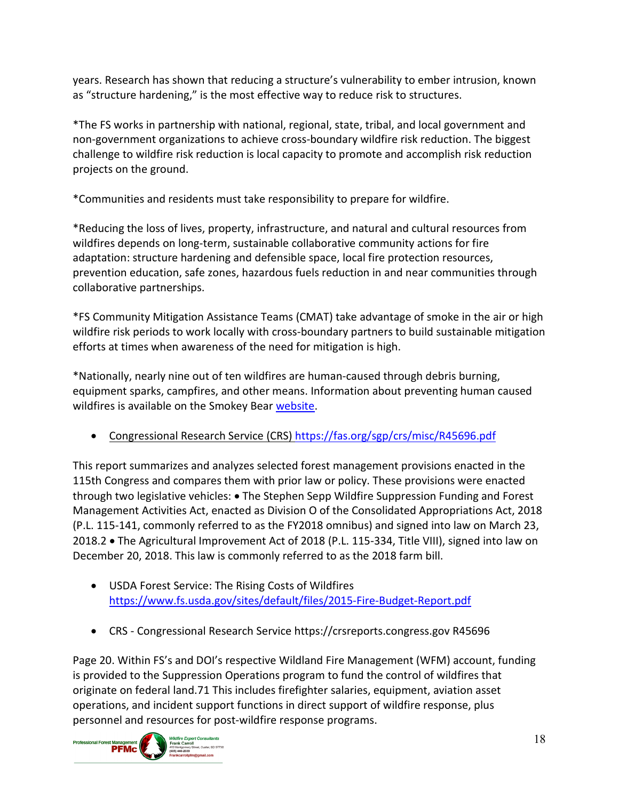years. Research has shown that reducing a structure's vulnerability to ember intrusion, known as "structure hardening," is the most effective way to reduce risk to structures.

\*The FS works in partnership with national, regional, state, tribal, and local government and non-government organizations to achieve cross-boundary wildfire risk reduction. The biggest challenge to wildfire risk reduction is local capacity to promote and accomplish risk reduction projects on the ground.

\*Communities and residents must take responsibility to prepare for wildfire.

\*Reducing the loss of lives, property, infrastructure, and natural and cultural resources from wildfires depends on long-term, sustainable collaborative community actions for fire adaptation: structure hardening and defensible space, local fire protection resources, prevention education, safe zones, hazardous fuels reduction in and near communities through collaborative partnerships.

\*FS Community Mitigation Assistance Teams (CMAT) take advantage of smoke in the air or high wildfire risk periods to work locally with cross-boundary partners to build sustainable mitigation efforts at times when awareness of the need for mitigation is high.

\*Nationally, nearly nine out of ten wildfires are human-caused through debris burning, equipment sparks, campfires, and other means. Information about preventing human caused wildfires is available on the Smokey Bear [website.](http://www.smokeybear.com/)

• Congressional Research Service (CRS)<https://fas.org/sgp/crs/misc/R45696.pdf>

This report summarizes and analyzes selected forest management provisions enacted in the 115th Congress and compares them with prior law or policy. These provisions were enacted through two legislative vehicles: • The Stephen Sepp Wildfire Suppression Funding and Forest Management Activities Act, enacted as Division O of the Consolidated Appropriations Act, 2018 (P.L. 115-141, commonly referred to as the FY2018 omnibus) and signed into law on March 23, 2018.2 • The Agricultural Improvement Act of 2018 (P.L. 115-334, Title VIII), signed into law on December 20, 2018. This law is commonly referred to as the 2018 farm bill.

- USDA Forest Service: The Rising Costs of Wildfires <https://www.fs.usda.gov/sites/default/files/2015-Fire-Budget-Report.pdf>
- CRS Congressional Research Service https://crsreports.congress.gov R45696

Page 20. Within FS's and DOI's respective Wildland Fire Management (WFM) account, funding is provided to the Suppression Operations program to fund the control of wildfires that originate on federal land.71 This includes firefighter salaries, equipment, aviation asset operations, and incident support functions in direct support of wildfire response, plus personnel and resources for post-wildfire response programs.

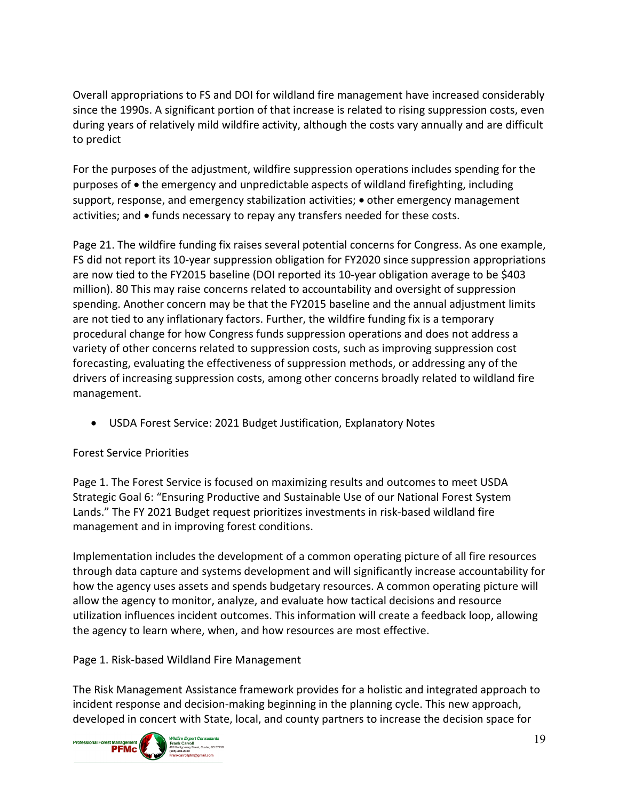Overall appropriations to FS and DOI for wildland fire management have increased considerably since the 1990s. A significant portion of that increase is related to rising suppression costs, even during years of relatively mild wildfire activity, although the costs vary annually and are difficult to predict

For the purposes of the adjustment, wildfire suppression operations includes spending for the purposes of • the emergency and unpredictable aspects of wildland firefighting, including support, response, and emergency stabilization activities;  $\bullet$  other emergency management activities; and • funds necessary to repay any transfers needed for these costs.

Page 21. The wildfire funding fix raises several potential concerns for Congress. As one example, FS did not report its 10-year suppression obligation for FY2020 since suppression appropriations are now tied to the FY2015 baseline (DOI reported its 10-year obligation average to be \$403 million). 80 This may raise concerns related to accountability and oversight of suppression spending. Another concern may be that the FY2015 baseline and the annual adjustment limits are not tied to any inflationary factors. Further, the wildfire funding fix is a temporary procedural change for how Congress funds suppression operations and does not address a variety of other concerns related to suppression costs, such as improving suppression cost forecasting, evaluating the effectiveness of suppression methods, or addressing any of the drivers of increasing suppression costs, among other concerns broadly related to wildland fire management.

• USDA Forest Service: 2021 Budget Justification, Explanatory Notes

#### Forest Service Priorities

Page 1. The Forest Service is focused on maximizing results and outcomes to meet USDA Strategic Goal 6: "Ensuring Productive and Sustainable Use of our National Forest System Lands." The FY 2021 Budget request prioritizes investments in risk-based wildland fire management and in improving forest conditions.

Implementation includes the development of a common operating picture of all fire resources through data capture and systems development and will significantly increase accountability for how the agency uses assets and spends budgetary resources. A common operating picture will allow the agency to monitor, analyze, and evaluate how tactical decisions and resource utilization influences incident outcomes. This information will create a feedback loop, allowing the agency to learn where, when, and how resources are most effective.

Page 1. Risk-based Wildland Fire Management

The Risk Management Assistance framework provides for a holistic and integrated approach to incident response and decision-making beginning in the planning cycle. This new approach, developed in concert with State, local, and county partners to increase the decision space for

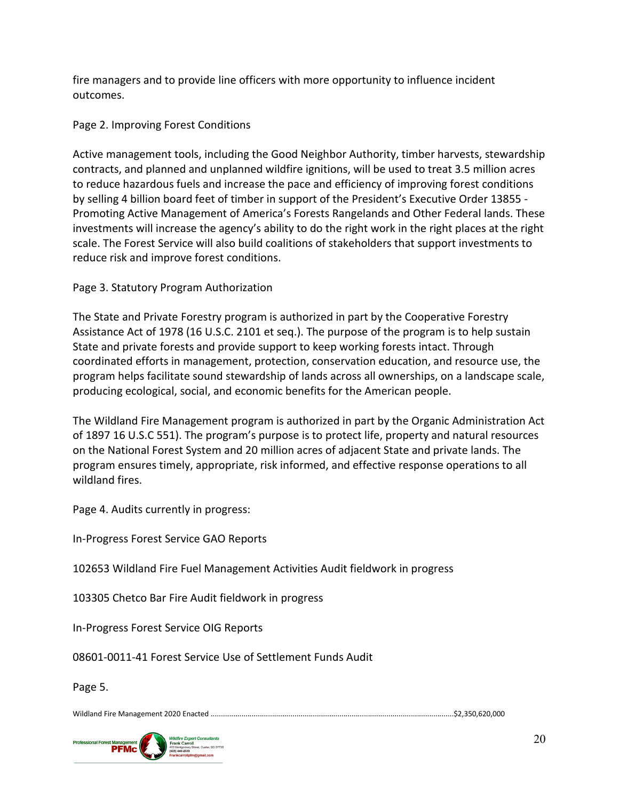fire managers and to provide line officers with more opportunity to influence incident outcomes.

## Page 2. Improving Forest Conditions

Active management tools, including the Good Neighbor Authority, timber harvests, stewardship contracts, and planned and unplanned wildfire ignitions, will be used to treat 3.5 million acres to reduce hazardous fuels and increase the pace and efficiency of improving forest conditions by selling 4 billion board feet of timber in support of the President's Executive Order 13855 - Promoting Active Management of America's Forests Rangelands and Other Federal lands. These investments will increase the agency's ability to do the right work in the right places at the right scale. The Forest Service will also build coalitions of stakeholders that support investments to reduce risk and improve forest conditions.

## Page 3. Statutory Program Authorization

The State and Private Forestry program is authorized in part by the Cooperative Forestry Assistance Act of 1978 (16 U.S.C. 2101 et seq.). The purpose of the program is to help sustain State and private forests and provide support to keep working forests intact. Through coordinated efforts in management, protection, conservation education, and resource use, the program helps facilitate sound stewardship of lands across all ownerships, on a landscape scale, producing ecological, social, and economic benefits for the American people.

The Wildland Fire Management program is authorized in part by the Organic Administration Act of 1897 16 U.S.C 551). The program's purpose is to protect life, property and natural resources on the National Forest System and 20 million acres of adjacent State and private lands. The program ensures timely, appropriate, risk informed, and effective response operations to all wildland fires.

Page 4. Audits currently in progress:

In-Progress Forest Service GAO Reports

102653 Wildland Fire Fuel Management Activities Audit fieldwork in progress

103305 Chetco Bar Fire Audit fieldwork in progress

In-Progress Forest Service OIG Reports

08601-0011-41 Forest Service Use of Settlement Funds Audit

Page 5.

Wildland Fire Management 2020 Enacted .......................................................................................................................\$2,350,620,000

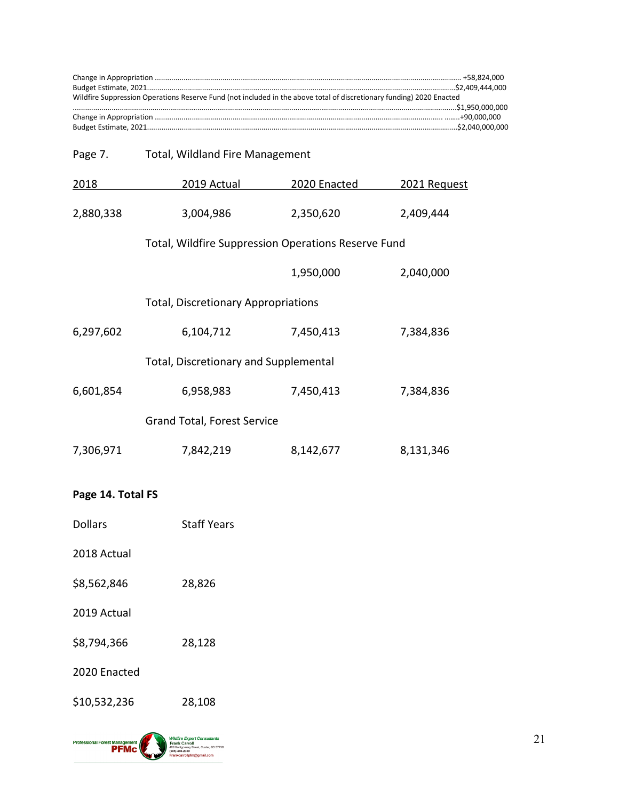| Wildfire Suppression Operations Reserve Fund (not included in the above total of discretionary funding) 2020 Enacted |  |  |
|----------------------------------------------------------------------------------------------------------------------|--|--|
|                                                                                                                      |  |  |
|                                                                                                                      |  |  |

| Page 7.   | <b>Total, Wildland Fire Management</b>              |              |              |  |
|-----------|-----------------------------------------------------|--------------|--------------|--|
| 2018      | 2019 Actual                                         | 2020 Enacted | 2021 Request |  |
| 2,880,338 | 3,004,986                                           | 2,350,620    | 2,409,444    |  |
|           | Total, Wildfire Suppression Operations Reserve Fund |              |              |  |
|           |                                                     | 1,950,000    | 2,040,000    |  |
|           | <b>Total, Discretionary Appropriations</b>          |              |              |  |
| 6,297,602 | 6,104,712                                           | 7,450,413    | 7,384,836    |  |
|           | Total, Discretionary and Supplemental               |              |              |  |
| 6,601,854 | 6,958,983                                           | 7,450,413    | 7,384,836    |  |
|           | <b>Grand Total, Forest Service</b>                  |              |              |  |
| 7,306,971 | 7,842,219                                           | 8,142,677    | 8,131,346    |  |
|           |                                                     |              |              |  |

# **Page 14. Total FS**

Dollars Staff Years

2018 Actual

- \$8,562,846 28,826
- 2019 Actual
- \$8,794,366 28,128
- 2020 Enacted
- \$10,532,236 28,108

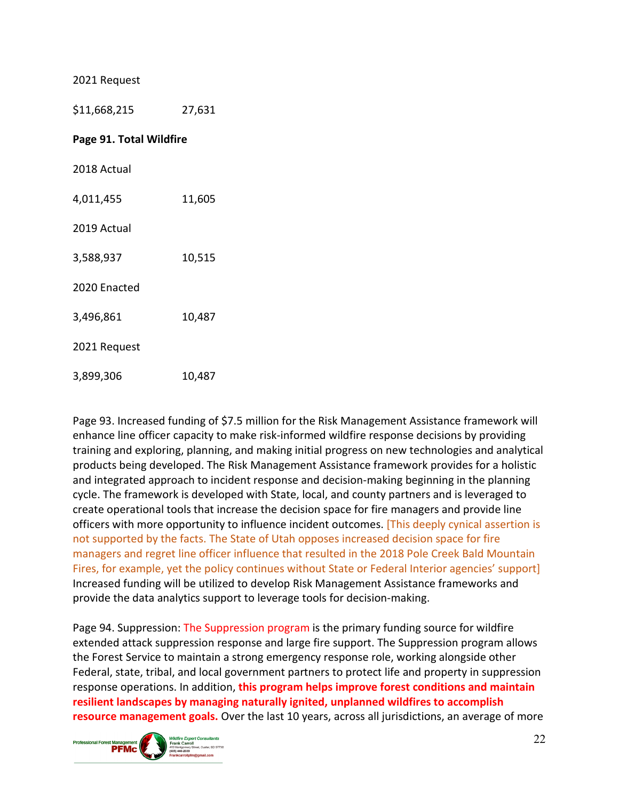2021 Request

\$11,668,215 27,631 **Page 91. Total Wildfire** 2018 Actual 4,011,455 11,605 2019 Actual 3,588,937 10,515 2020 Enacted 3,496,861 10,487 2021 Request 3,899,306 10,487

Page 93. Increased funding of \$7.5 million for the Risk Management Assistance framework will enhance line officer capacity to make risk-informed wildfire response decisions by providing training and exploring, planning, and making initial progress on new technologies and analytical products being developed. The Risk Management Assistance framework provides for a holistic and integrated approach to incident response and decision-making beginning in the planning cycle. The framework is developed with State, local, and county partners and is leveraged to create operational tools that increase the decision space for fire managers and provide line officers with more opportunity to influence incident outcomes. [This deeply cynical assertion is not supported by the facts. The State of Utah opposes increased decision space for fire managers and regret line officer influence that resulted in the 2018 Pole Creek Bald Mountain Fires, for example, yet the policy continues without State or Federal Interior agencies' support] Increased funding will be utilized to develop Risk Management Assistance frameworks and provide the data analytics support to leverage tools for decision-making.

Page 94. Suppression: The Suppression program is the primary funding source for wildfire extended attack suppression response and large fire support. The Suppression program allows the Forest Service to maintain a strong emergency response role, working alongside other Federal, state, tribal, and local government partners to protect life and property in suppression response operations. In addition, **this program helps improve forest conditions and maintain resilient landscapes by managing naturally ignited, unplanned wildfires to accomplish resource management goals.** Over the last 10 years, across all jurisdictions, an average of more

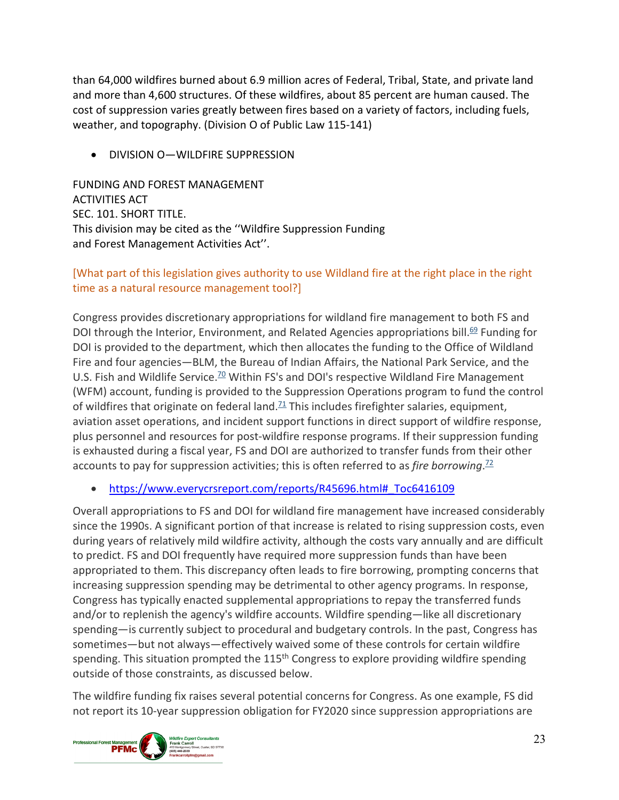than 64,000 wildfires burned about 6.9 million acres of Federal, Tribal, State, and private land and more than 4,600 structures. Of these wildfires, about 85 percent are human caused. The cost of suppression varies greatly between fires based on a variety of factors, including fuels, weather, and topography. (Division O of Public Law 115-141)

• DIVISION O—WILDFIRE SUPPRESSION

FUNDING AND FOREST MANAGEMENT ACTIVITIES ACT SEC. 101. SHORT TITLE. This division may be cited as the ''Wildfire Suppression Funding and Forest Management Activities Act''.

# [What part of this legislation gives authority to use Wildland fire at the right place in the right time as a natural resource management tool?]

Congress provides discretionary appropriations for wildland fire management to both FS and DOI through the Interior, Environment, and Related Agencies appropriations bill.<sup>69</sup> Funding for DOI is provided to the department, which then allocates the funding to the Office of Wildland Fire and four agencies—BLM, the Bureau of Indian Affairs, the National Park Service, and the U.S. Fish and Wildlife Service.<sup>70</sup> Within FS's and DOI's respective Wildland Fire Management (WFM) account, funding is provided to the Suppression Operations program to fund the control of wildfires that originate on federal land.<sup> $71$ </sup> This includes firefighter salaries, equipment, aviation asset operations, and incident support functions in direct support of wildfire response, plus personnel and resources for post-wildfire response programs. If their suppression funding is exhausted during a fiscal year, FS and DOI are authorized to transfer funds from their other accounts to pay for suppression activities; this is often referred to as *fire borrowing*. [72](https://www.everycrsreport.com/reports/R45696.html#fn72)

# • https://www.everycrsreport.com/reports/R45696.html# Toc6416109

Overall appropriations to FS and DOI for wildland fire management have increased considerably since the 1990s. A significant portion of that increase is related to rising suppression costs, even during years of relatively mild wildfire activity, although the costs vary annually and are difficult to predict. FS and DOI frequently have required more suppression funds than have been appropriated to them. This discrepancy often leads to fire borrowing, prompting concerns that increasing suppression spending may be detrimental to other agency programs. In response, Congress has typically enacted supplemental appropriations to repay the transferred funds and/or to replenish the agency's wildfire accounts. Wildfire spending—like all discretionary spending—is currently subject to procedural and budgetary controls. In the past, Congress has sometimes—but not always—effectively waived some of these controls for certain wildfire spending. This situation prompted the 115<sup>th</sup> Congress to explore providing wildfire spending outside of those constraints, as discussed below.

The wildfire funding fix raises several potential concerns for Congress. As one example, FS did not report its 10-year suppression obligation for FY2020 since suppression appropriations are

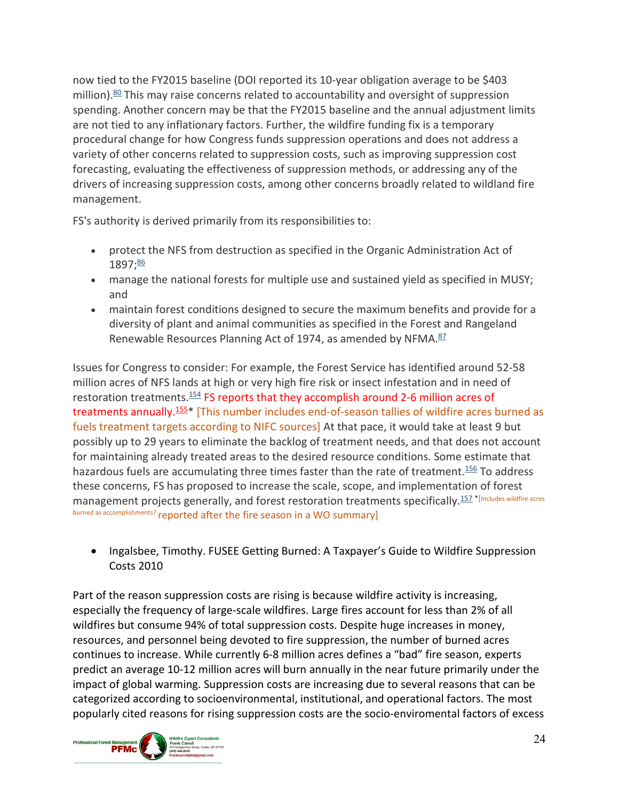now tied to the FY2015 baseline (DOI reported its 10-year obligation average to be \$403 million). $80$  This may raise concerns related to accountability and oversight of suppression spending. Another concern may be that the FY2015 baseline and the annual adjustment limits are not tied to any inflationary factors. Further, the wildfire funding fix is a temporary procedural change for how Congress funds suppression operations and does not address a variety of other concerns related to suppression costs, such as improving suppression cost forecasting, evaluating the effectiveness of suppression methods, or addressing any of the drivers of increasing suppression costs, among other concerns broadly related to wildland fire management.

FS's authority is derived primarily from its responsibilities to:

- protect the NFS from destruction as specified in the Organic Administration Act of 1897[;86](https://www.everycrsreport.com/reports/R45696.html#fn86)
- manage the national forests for multiple use and sustained yield as specified in MUSY; and
- maintain forest conditions designed to secure the maximum benefits and provide for a diversity of plant and animal communities as specified in the Forest and Rangeland Renewable Resources Planning Act of 1974, as amended by NFMA.<sup>87</sup>

Issues for Congress to consider: For example, the Forest Service has identified around 52-58 million acres of NFS lands at high or very high fire risk or insect infestation and in need of restoration treatments.<sup>154</sup> FS reports that they accomplish around 2-6 million acres of treatments annually.<sup>155\*</sup> [This number includes end-of-season tallies of wildfire acres burned as fuels treatment targets according to NIFC sources] At that pace, it would take at least 9 but possibly up to 29 years to eliminate the backlog of treatment needs, and that does not account for maintaining already treated areas to the desired resource conditions. Some estimate that hazardous fuels are accumulating three times faster than the rate of treatment.<sup>156</sup> To address these concerns, FS has proposed to increase the scale, scope, and implementation of forest management projects generally, and forest restoration treatments specifically.<sup>157 \*[Includes wildfire acres</sup> burned as accomplishments? reported after the fire season in a WO summary]

• Ingalsbee, Timothy. FUSEE Getting Burned: A Taxpayer's Guide to Wildfire Suppression Costs 2010

Part of the reason suppression costs are rising is because wildfire activity is increasing, especially the frequency of large-scale wildfires. Large fires account for less than 2% of all wildfires but consume 94% of total suppression costs. Despite huge increases in money, resources, and personnel being devoted to fire suppression, the number of burned acres continues to increase. While currently 6-8 million acres defines a "bad" fire season, experts predict an average 10-12 million acres will burn annually in the near future primarily under the impact of global warming. Suppression costs are increasing due to several reasons that can be categorized according to socioenvironmental, institutional, and operational factors. The most popularly cited reasons for rising suppression costs are the socio-enviromental factors of excess

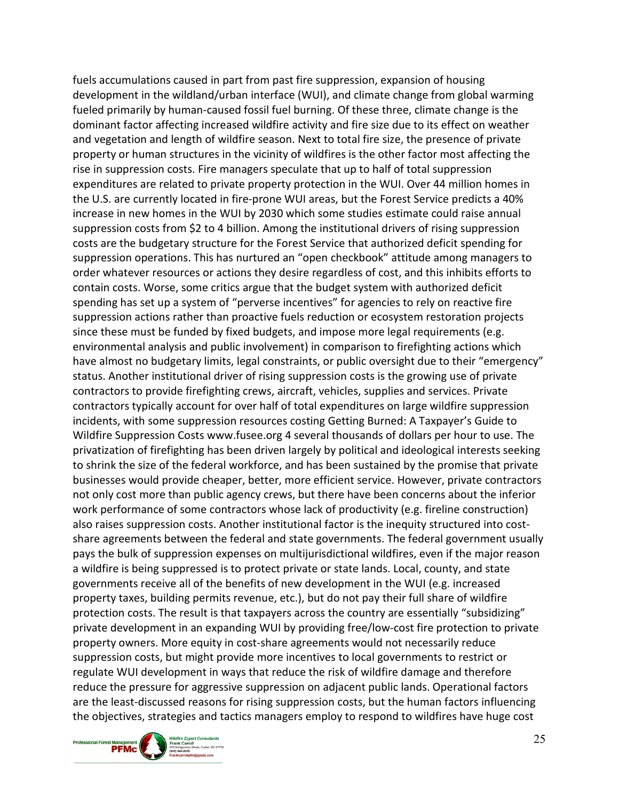fuels accumulations caused in part from past fire suppression, expansion of housing development in the wildland/urban interface (WUI), and climate change from global warming fueled primarily by human-caused fossil fuel burning. Of these three, climate change is the dominant factor affecting increased wildfire activity and fire size due to its effect on weather and vegetation and length of wildfire season. Next to total fire size, the presence of private property or human structures in the vicinity of wildfires is the other factor most affecting the rise in suppression costs. Fire managers speculate that up to half of total suppression expenditures are related to private property protection in the WUI. Over 44 million homes in the U.S. are currently located in fire-prone WUI areas, but the Forest Service predicts a 40% increase in new homes in the WUI by 2030 which some studies estimate could raise annual suppression costs from \$2 to 4 billion. Among the institutional drivers of rising suppression costs are the budgetary structure for the Forest Service that authorized deficit spending for suppression operations. This has nurtured an "open checkbook" attitude among managers to order whatever resources or actions they desire regardless of cost, and this inhibits efforts to contain costs. Worse, some critics argue that the budget system with authorized deficit spending has set up a system of "perverse incentives" for agencies to rely on reactive fire suppression actions rather than proactive fuels reduction or ecosystem restoration projects since these must be funded by fixed budgets, and impose more legal requirements (e.g. environmental analysis and public involvement) in comparison to firefighting actions which have almost no budgetary limits, legal constraints, or public oversight due to their "emergency" status. Another institutional driver of rising suppression costs is the growing use of private contractors to provide firefighting crews, aircraft, vehicles, supplies and services. Private contractors typically account for over half of total expenditures on large wildfire suppression incidents, with some suppression resources costing Getting Burned: A Taxpayer's Guide to Wildfire Suppression Costs www.fusee.org 4 several thousands of dollars per hour to use. The privatization of firefighting has been driven largely by political and ideological interests seeking to shrink the size of the federal workforce, and has been sustained by the promise that private businesses would provide cheaper, better, more efficient service. However, private contractors not only cost more than public agency crews, but there have been concerns about the inferior work performance of some contractors whose lack of productivity (e.g. fireline construction) also raises suppression costs. Another institutional factor is the inequity structured into costshare agreements between the federal and state governments. The federal government usually pays the bulk of suppression expenses on multijurisdictional wildfires, even if the major reason a wildfire is being suppressed is to protect private or state lands. Local, county, and state governments receive all of the benefits of new development in the WUI (e.g. increased property taxes, building permits revenue, etc.), but do not pay their full share of wildfire protection costs. The result is that taxpayers across the country are essentially "subsidizing" private development in an expanding WUI by providing free/low-cost fire protection to private property owners. More equity in cost-share agreements would not necessarily reduce suppression costs, but might provide more incentives to local governments to restrict or regulate WUI development in ways that reduce the risk of wildfire damage and therefore reduce the pressure for aggressive suppression on adjacent public lands. Operational factors are the least-discussed reasons for rising suppression costs, but the human factors influencing the objectives, strategies and tactics managers employ to respond to wildfires have huge cost

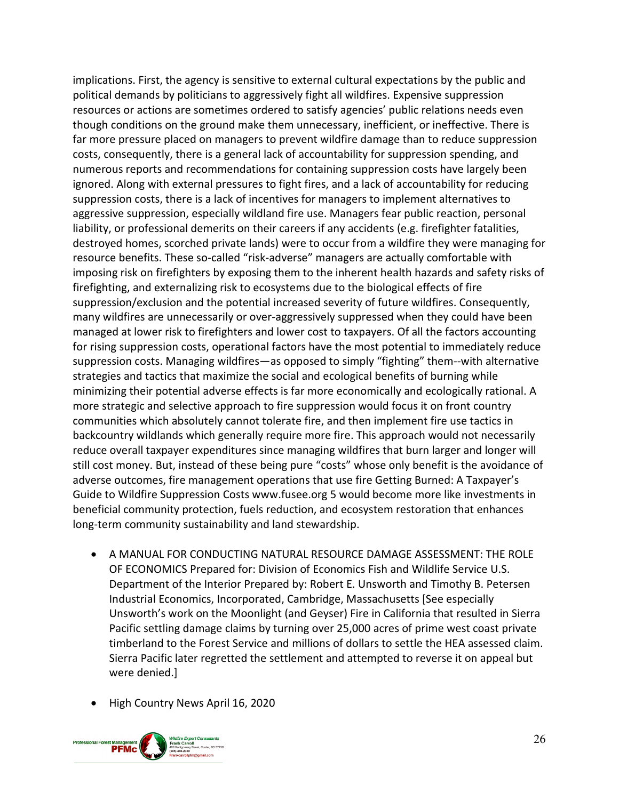implications. First, the agency is sensitive to external cultural expectations by the public and political demands by politicians to aggressively fight all wildfires. Expensive suppression resources or actions are sometimes ordered to satisfy agencies' public relations needs even though conditions on the ground make them unnecessary, inefficient, or ineffective. There is far more pressure placed on managers to prevent wildfire damage than to reduce suppression costs, consequently, there is a general lack of accountability for suppression spending, and numerous reports and recommendations for containing suppression costs have largely been ignored. Along with external pressures to fight fires, and a lack of accountability for reducing suppression costs, there is a lack of incentives for managers to implement alternatives to aggressive suppression, especially wildland fire use. Managers fear public reaction, personal liability, or professional demerits on their careers if any accidents (e.g. firefighter fatalities, destroyed homes, scorched private lands) were to occur from a wildfire they were managing for resource benefits. These so-called "risk-adverse" managers are actually comfortable with imposing risk on firefighters by exposing them to the inherent health hazards and safety risks of firefighting, and externalizing risk to ecosystems due to the biological effects of fire suppression/exclusion and the potential increased severity of future wildfires. Consequently, many wildfires are unnecessarily or over-aggressively suppressed when they could have been managed at lower risk to firefighters and lower cost to taxpayers. Of all the factors accounting for rising suppression costs, operational factors have the most potential to immediately reduce suppression costs. Managing wildfires—as opposed to simply "fighting" them--with alternative strategies and tactics that maximize the social and ecological benefits of burning while minimizing their potential adverse effects is far more economically and ecologically rational. A more strategic and selective approach to fire suppression would focus it on front country communities which absolutely cannot tolerate fire, and then implement fire use tactics in backcountry wildlands which generally require more fire. This approach would not necessarily reduce overall taxpayer expenditures since managing wildfires that burn larger and longer will still cost money. But, instead of these being pure "costs" whose only benefit is the avoidance of adverse outcomes, fire management operations that use fire Getting Burned: A Taxpayer's Guide to Wildfire Suppression Costs www.fusee.org 5 would become more like investments in beneficial community protection, fuels reduction, and ecosystem restoration that enhances long-term community sustainability and land stewardship.

- A MANUAL FOR CONDUCTING NATURAL RESOURCE DAMAGE ASSESSMENT: THE ROLE OF ECONOMICS Prepared for: Division of Economics Fish and Wildlife Service U.S. Department of the Interior Prepared by: Robert E. Unsworth and Timothy B. Petersen Industrial Economics, Incorporated, Cambridge, Massachusetts [See especially Unsworth's work on the Moonlight (and Geyser) Fire in California that resulted in Sierra Pacific settling damage claims by turning over 25,000 acres of prime west coast private timberland to the Forest Service and millions of dollars to settle the HEA assessed claim. Sierra Pacific later regretted the settlement and attempted to reverse it on appeal but were denied.]
- High Country News April 16, 2020